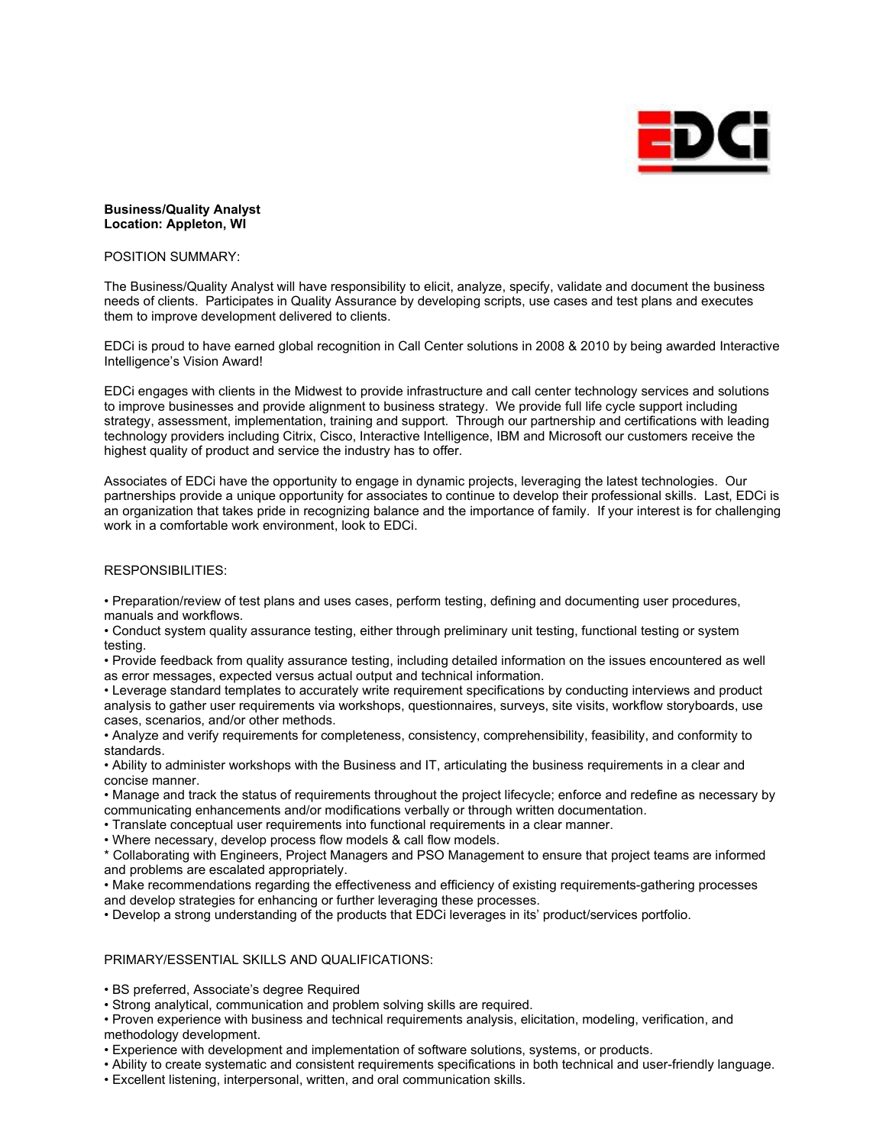

## **Business/Quality Analyst Location: Appleton, WI**

### POSITION SUMMARY:

The Business/Quality Analyst will have responsibility to elicit, analyze, specify, validate and document the business needs of clients. Participates in Quality Assurance by developing scripts, use cases and test plans and executes them to improve development delivered to clients.

EDCi is proud to have earned global recognition in Call Center solutions in 2008 & 2010 by being awarded Interactive Intelligence's Vision Award!

EDCi engages with clients in the Midwest to provide infrastructure and call center technology services and solutions to improve businesses and provide alignment to business strategy. We provide full life cycle support including strategy, assessment, implementation, training and support. Through our partnership and certifications with leading technology providers including Citrix, Cisco, Interactive Intelligence, IBM and Microsoft our customers receive the highest quality of product and service the industry has to offer.

Associates of EDCi have the opportunity to engage in dynamic projects, leveraging the latest technologies. Our partnerships provide a unique opportunity for associates to continue to develop their professional skills. Last, EDCi is an organization that takes pride in recognizing balance and the importance of family. If your interest is for challenging work in a comfortable work environment, look to EDCi.

## RESPONSIBILITIES:

• Preparation/review of test plans and uses cases, perform testing, defining and documenting user procedures, manuals and workflows.

• Conduct system quality assurance testing, either through preliminary unit testing, functional testing or system testing.

• Provide feedback from quality assurance testing, including detailed information on the issues encountered as well as error messages, expected versus actual output and technical information.

• Leverage standard templates to accurately write requirement specifications by conducting interviews and product analysis to gather user requirements via workshops, questionnaires, surveys, site visits, workflow storyboards, use cases, scenarios, and/or other methods.

• Analyze and verify requirements for completeness, consistency, comprehensibility, feasibility, and conformity to standards.

• Ability to administer workshops with the Business and IT, articulating the business requirements in a clear and concise manner.

• Manage and track the status of requirements throughout the project lifecycle; enforce and redefine as necessary by communicating enhancements and/or modifications verbally or through written documentation.

• Translate conceptual user requirements into functional requirements in a clear manner.

• Where necessary, develop process flow models & call flow models.

\* Collaborating with Engineers, Project Managers and PSO Management to ensure that project teams are informed and problems are escalated appropriately.

• Make recommendations regarding the effectiveness and efficiency of existing requirements-gathering processes and develop strategies for enhancing or further leveraging these processes.

• Develop a strong understanding of the products that EDCi leverages in its' product/services portfolio.

### PRIMARY/ESSENTIAL SKILLS AND QUALIFICATIONS:

• BS preferred, Associate's degree Required

• Strong analytical, communication and problem solving skills are required.

• Proven experience with business and technical requirements analysis, elicitation, modeling, verification, and methodology development.

• Experience with development and implementation of software solutions, systems, or products.

• Ability to create systematic and consistent requirements specifications in both technical and user-friendly language.

• Excellent listening, interpersonal, written, and oral communication skills.